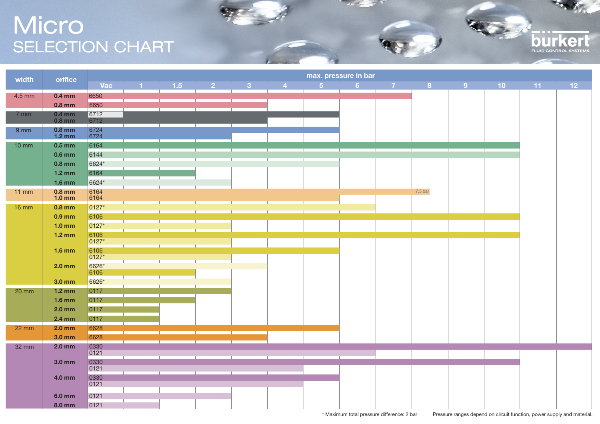## Micro SELECTION CHART

| width             | orifice                      |                | max. pressure in bar |     |                |              |                                                |               |    |  |               |  |  |                |                 |  |
|-------------------|------------------------------|----------------|----------------------|-----|----------------|--------------|------------------------------------------------|---------------|----|--|---------------|--|--|----------------|-----------------|--|
|                   |                              | Vac            |                      | 1.5 | $\overline{2}$ | $\mathbf{R}$ | $\mathbf{A}$ and $\mathbf{A}$ and $\mathbf{A}$ | $-5$ and $-1$ | -6 |  | $7 \t 8 \t 9$ |  |  | $10 \qquad 11$ | 12 <sup>7</sup> |  |
| 4.5 mm            | $0.4$ mm                     | 6650           |                      |     |                |              |                                                |               |    |  |               |  |  |                |                 |  |
|                   | $0.8$ mm                     | 6650           |                      |     |                |              |                                                |               |    |  |               |  |  |                |                 |  |
| $7$ mm            | $0.4$ mm<br>$0.8$ mm         | 6712<br>6712   |                      |     |                |              |                                                |               |    |  |               |  |  |                |                 |  |
| $9$ mm            | $0.8$ mm<br>$1.2 \text{ mm}$ | 6724<br>6724   |                      |     |                |              |                                                |               |    |  |               |  |  |                |                 |  |
| $10 \, \text{mm}$ | $0.5$ mm                     | 6164           |                      |     |                |              |                                                |               |    |  |               |  |  |                |                 |  |
|                   | $0.6$ mm                     | 6144           |                      |     |                |              |                                                |               |    |  |               |  |  |                |                 |  |
|                   | $0.8$ mm                     | 6624*          |                      |     |                |              |                                                |               |    |  |               |  |  |                |                 |  |
|                   | $1.2 \text{ mm}$             | 6164           |                      |     |                |              |                                                |               |    |  |               |  |  |                |                 |  |
|                   | $1.6$ mm                     | 6624*          |                      |     |                |              |                                                |               |    |  |               |  |  |                |                 |  |
| $11$ mm           | $0.8$ mm<br>$1.0 \text{ mm}$ | 6164<br>6164   |                      |     |                |              |                                                |               |    |  | 7.5 bar       |  |  |                |                 |  |
| $16 \, \text{mm}$ | $0.8$ mm                     | 0127*          |                      |     |                |              |                                                |               |    |  |               |  |  |                |                 |  |
|                   | 0.9 mm                       | 6106           |                      |     |                |              |                                                |               |    |  |               |  |  |                |                 |  |
|                   | $1.0 \text{ mm}$             | 0127*          |                      |     |                |              |                                                |               |    |  |               |  |  |                |                 |  |
|                   | $1.2 \text{ mm}$             | 6106           |                      |     |                |              |                                                |               |    |  |               |  |  |                |                 |  |
|                   |                              | 0127*          |                      |     |                |              |                                                |               |    |  |               |  |  |                |                 |  |
|                   | $1.6$ mm                     | 6106           |                      |     |                |              |                                                |               |    |  |               |  |  |                |                 |  |
|                   |                              | 0127*          |                      |     |                |              |                                                |               |    |  |               |  |  |                |                 |  |
|                   | $2.0$ mm                     | 6626*<br>6106  |                      |     |                |              |                                                |               |    |  |               |  |  |                |                 |  |
|                   | 3.0 mm                       | 6626*          |                      |     |                |              |                                                |               |    |  |               |  |  |                |                 |  |
| $20 \text{ mm}$   | $1.2 \text{ mm}$             | $ 0117\rangle$ |                      |     |                |              |                                                |               |    |  |               |  |  |                |                 |  |
|                   | $1.6$ mm                     | 0117           |                      |     |                |              |                                                |               |    |  |               |  |  |                |                 |  |
|                   | $2.0$ mm                     | 0117           |                      |     |                |              |                                                |               |    |  |               |  |  |                |                 |  |
|                   | 2.4 mm                       | 0117           |                      |     |                |              |                                                |               |    |  |               |  |  |                |                 |  |
| $22 \, \text{mm}$ | $2.0$ mm                     | 6628           |                      |     |                |              |                                                |               |    |  |               |  |  |                |                 |  |
|                   | 3.0 mm                       | 6628           |                      |     |                |              |                                                |               |    |  |               |  |  |                |                 |  |
| 32 mm             | $2.0$ mm                     | 0330           |                      |     |                |              |                                                |               |    |  |               |  |  |                |                 |  |
|                   | 3.0 mm                       |                |                      |     |                |              |                                                |               |    |  |               |  |  |                |                 |  |
|                   |                              | 0330           |                      |     |                |              |                                                |               |    |  |               |  |  |                |                 |  |
|                   | 4.0 mm                       | 0330           |                      |     |                |              |                                                |               |    |  |               |  |  |                |                 |  |
|                   |                              | 0121           |                      |     |                |              |                                                |               |    |  |               |  |  |                |                 |  |
|                   | 6.0 mm                       | 0121           |                      |     |                |              |                                                |               |    |  |               |  |  |                |                 |  |
|                   | 8.0 mm                       | 0121           |                      |     |                |              |                                                |               |    |  |               |  |  |                |                 |  |

- - -

FLUID CONTROL

**burkerl**